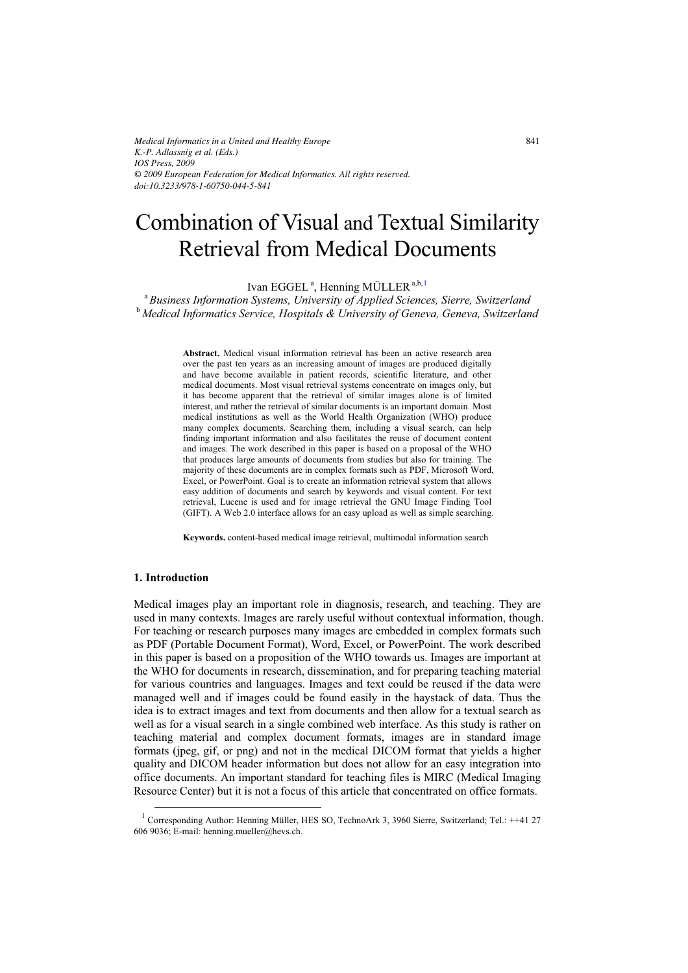*Medical Informatics in a United and Healthy Europe K.-P. Adlassnig et al. (Eds.) IOS Press, 2009 © 2009 European Federation for Medical Informatics. All rights reserved. doi:10.3233/978-1-60750-044-5-841*

# Combination of Visual and Textual Similarity Retrieval from Medical Documents

Ivan EGGEL<sup>a</sup>, Henning MÜLLER<sup>a,b,1</sup>

<sup>a</sup> *Business Information Systems, University of Applied Sciences, Sierre, Switzerland*  <sup>b</sup> *Medical Informatics Service, Hospitals & University of Geneva, Geneva, Switzerland* 

> **Abstract.** Medical visual information retrieval has been an active research area over the past ten years as an increasing amount of images are produced digitally and have become available in patient records, scientific literature, and other medical documents. Most visual retrieval systems concentrate on images only, but it has become apparent that the retrieval of similar images alone is of limited interest, and rather the retrieval of similar documents is an important domain. Most medical institutions as well as the World Health Organization (WHO) produce many complex documents. Searching them, including a visual search, can help finding important information and also facilitates the reuse of document content and images. The work described in this paper is based on a proposal of the WHO that produces large amounts of documents from studies but also for training. The majority of these documents are in complex formats such as PDF, Microsoft Word, Excel, or PowerPoint. Goal is to create an information retrieval system that allows easy addition of documents and search by keywords and visual content. For text retrieval, Lucene is used and for image retrieval the GNU Image Finding Tool (GIFT). A Web 2.0 interface allows for an easy upload as well as simple searching.

**Keywords.** content-based medical image retrieval, multimodal information search

# **1. Introduction**

 $\overline{\phantom{a}}$ 

Medical images play an important role in diagnosis, research, and teaching. They are used in many contexts. Images are rarely useful without contextual information, though. For teaching or research purposes many images are embedded in complex formats such as PDF (Portable Document Format), Word, Excel, or PowerPoint. The work described in this paper is based on a proposition of the WHO towards us. Images are important at the WHO for documents in research, dissemination, and for preparing teaching material for various countries and languages. Images and text could be reused if the data were managed well and if images could be found easily in the haystack of data. Thus the idea is to extract images and text from documents and then allow for a textual search as well as for a visual search in a single combined web interface. As this study is rather on teaching material and complex document formats, images are in standard image formats (jpeg, gif, or png) and not in the medical DICOM format that yields a higher quality and DICOM header information but does not allow for an easy integration into office documents. An important standard for teaching files is MIRC (Medical Imaging Resource Center) but it is not a focus of this article that concentrated on office formats.

<sup>&</sup>lt;sup>1</sup> Corresponding Author: Henning Müller, HES SO, TechnoArk 3, 3960 Sierre, Switzerland; Tel.: ++41 27 606 9036; E-mail: henning.mueller@hevs.ch.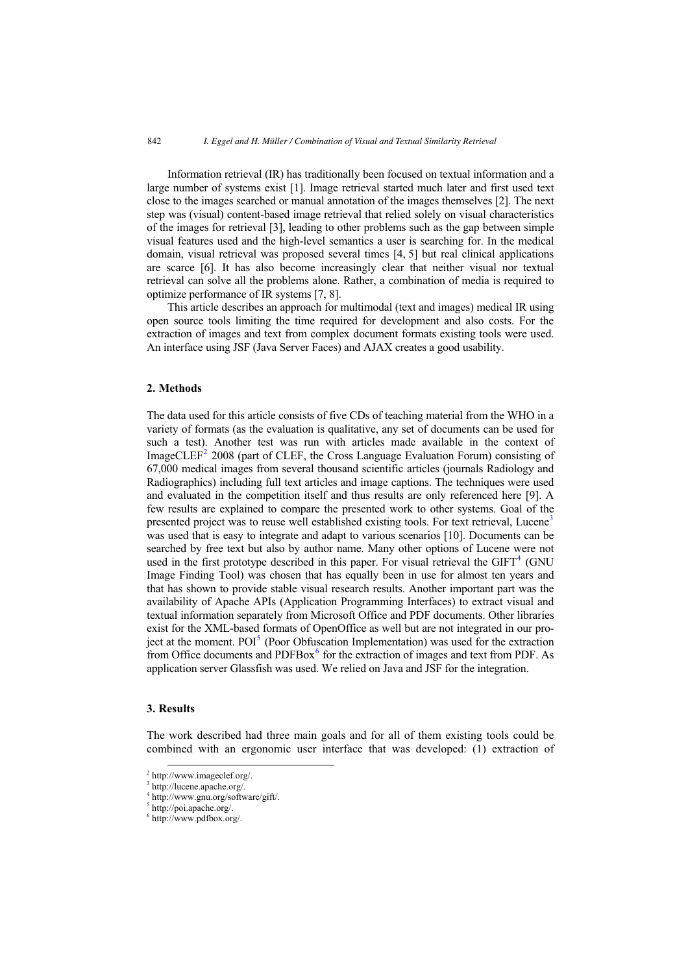Information retrieval (IR) has traditionally been focused on textual information and a large number of systems exist [1]. Image retrieval started much later and first used text close to the images searched or manual annotation of the images themselves [2]. The next step was (visual) content-based image retrieval that relied solely on visual characteristics of the images for retrieval [3], leading to other problems such as the gap between simple visual features used and the high-level semantics a user is searching for. In the medical domain, visual retrieval was proposed several times [4, 5] but real clinical applications are scarce [6]. It has also become increasingly clear that neither visual nor textual retrieval can solve all the problems alone. Rather, a combination of media is required to optimize performance of IR systems [7, 8].

This article describes an approach for multimodal (text and images) medical IR using open source tools limiting the time required for development and also costs. For the extraction of images and text from complex document formats existing tools were used. An interface using JSF (Java Server Faces) and AJAX creates a good usability.

### **2. Methods**

The data used for this article consists of five CDs of teaching material from the WHO in a variety of formats (as the evaluation is qualitative, any set of documents can be used for such a test). Another test was run with articles made available in the context of ImageCLEF<sup>2</sup> 2008 (part of CLEF, the Cross Language Evaluation Forum) consisting of 67,000 medical images from several thousand scientific articles (journals Radiology and Radiographics) including full text articles and image captions. The techniques were used and evaluated in the competition itself and thus results are only referenced here [9]. A few results are explained to compare the presented work to other systems. Goal of the presented project was to reuse well established existing tools. For text retrieval, Lucene<sup>3</sup> was used that is easy to integrate and adapt to various scenarios [10]. Documents can be searched by free text but also by author name. Many other options of Lucene were not used in the first prototype described in this paper. For visual retrieval the  $GIFT<sup>4</sup>$  (GNU Image Finding Tool) was chosen that has equally been in use for almost ten years and that has shown to provide stable visual research results. Another important part was the availability of Apache APIs (Application Programming Interfaces) to extract visual and textual information separately from Microsoft Office and PDF documents. Other libraries exist for the XML-based formats of OpenOffice as well but are not integrated in our project at the moment.  $POI<sup>5</sup>$  (Poor Obfuscation Implementation) was used for the extraction from Office documents and PDFBox<sup>6</sup> for the extraction of images and text from PDF. As application server Glassfish was used. We relied on Java and JSF for the integration.

# **3. Results**

 $\overline{a}$ 

The work described had three main goals and for all of them existing tools could be combined with an ergonomic user interface that was developed: (1) extraction of

<sup>2</sup> http://www.imageclef.org/.

<sup>3</sup> http://lucene.apache.org/.

<sup>4</sup> http://www.gnu.org/software/gift/.

<sup>5</sup> http://poi.apache.org/.

<sup>6</sup> http://www.pdfbox.org/.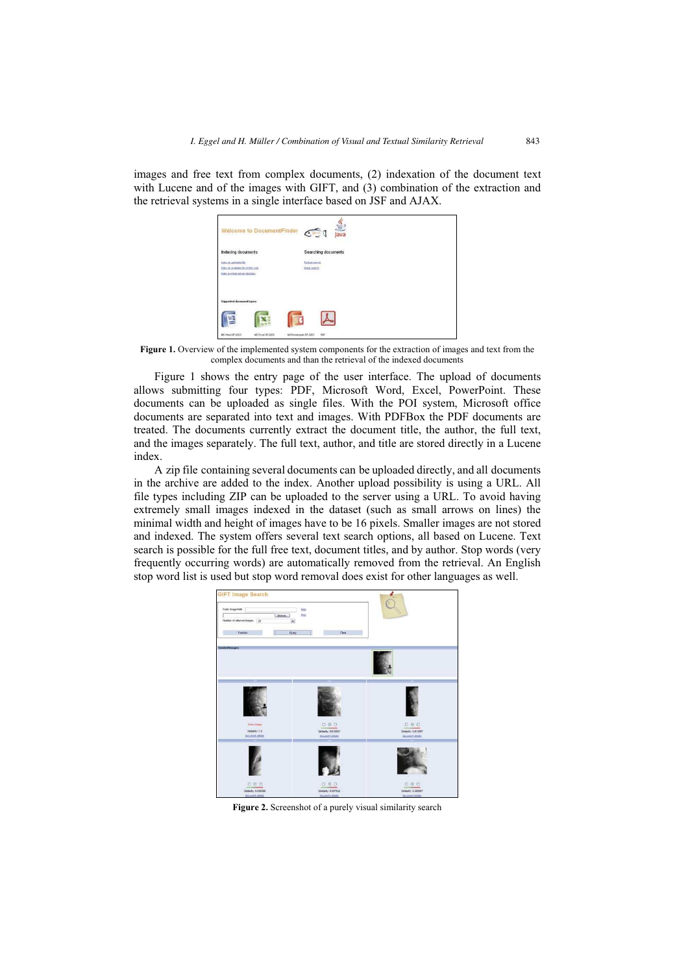images and free text from complex documents, (2) indexation of the document text with Lucene and of the images with GIFT, and (3) combination of the extraction and the retrieval systems in a single interface based on JSF and AJAX.

| <b>Welcome to DocumentFinder</b>                                        | $\frac{q}{\sqrt{q}}$<br>$C_{\text{max}}$ |  |
|-------------------------------------------------------------------------|------------------------------------------|--|
| <b>Indexing documents</b>                                               | Searching documents                      |  |
| tales maskward file                                                     | Textual covering                         |  |
| Index an evalatie far on the web.<br>Ester a infinite names directions: | <b>Mage search</b>                       |  |
| <b>Supported document types:</b>                                        |                                          |  |
|                                                                         |                                          |  |
| MS Word 97-2003<br>MS Excel 97-2003                                     | MS Powerpoint 97-2003<br>FOF.            |  |

**Figure 1.** Overview of the implemented system components for the extraction of images and text from the complex documents and than the retrieval of the indexed documents

Figure 1 shows the entry page of the user interface. The upload of documents allows submitting four types: PDF, Microsoft Word, Excel, PowerPoint. These documents can be uploaded as single files. With the POI system, Microsoft office documents are separated into text and images. With PDFBox the PDF documents are treated. The documents currently extract the document title, the author, the full text, and the images separately. The full text, author, and title are stored directly in a Lucene index.

A zip file containing several documents can be uploaded directly, and all documents in the archive are added to the index. Another upload possibility is using a URL. All file types including ZIP can be uploaded to the server using a URL. To avoid having extremely small images indexed in the dataset (such as small arrows on lines) the minimal width and height of images have to be 16 pixels. Smaller images are not stored and indexed. The system offers several text search options, all based on Lucene. Text search is possible for the full free text, document titles, and by author. Stop words (very frequently occurring words) are automatically removed from the retrieval. An English stop word list is used but stop word removal does exist for other languages as well.



**Figure 2.** Screenshot of a purely visual similarity search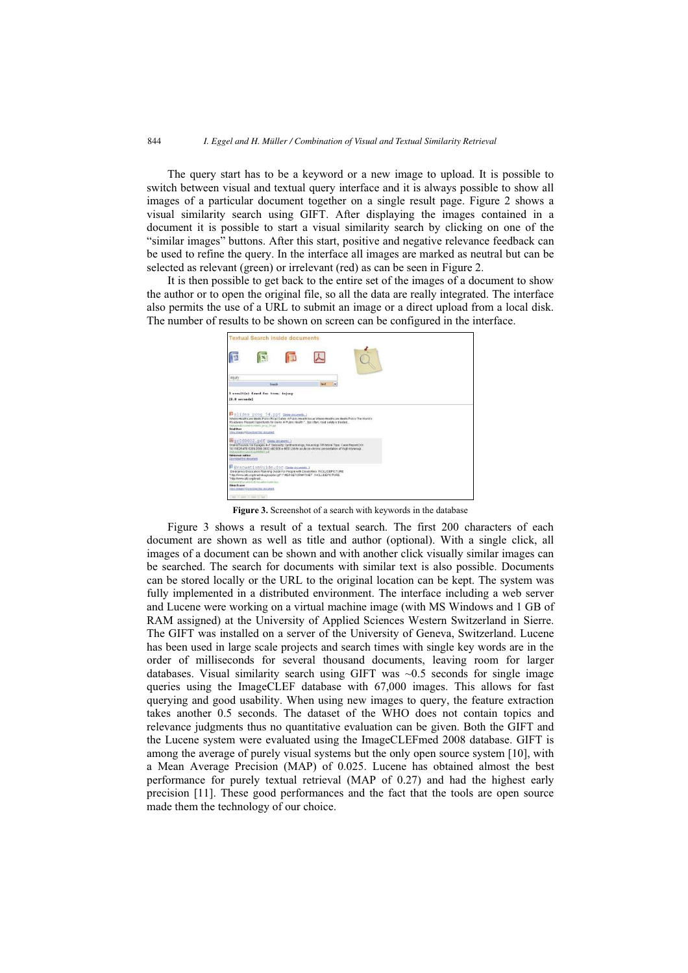The query start has to be a keyword or a new image to upload. It is possible to switch between visual and textual query interface and it is always possible to show all images of a particular document together on a single result page. Figure 2 shows a visual similarity search using GIFT. After displaying the images contained in a document it is possible to start a visual similarity search by clicking on one of the "similar images" buttons. After this start, positive and negative relevance feedback can be used to refine the query. In the interface all images are marked as neutral but can be selected as relevant (green) or irrelevant (red) as can be seen in Figure 2.

It is then possible to get back to the entire set of the images of a document to show the author or to open the original file, so all the data are really integrated. The interface also permits the use of a URL to submit an image or a direct upload from a local disk. The number of results to be shown on screen can be configured in the interface.



**Figure 3.** Screenshot of a search with keywords in the database

Figure 3 shows a result of a textual search. The first 200 characters of each document are shown as well as title and author (optional). With a single click, all images of a document can be shown and with another click visually similar images can be searched. The search for documents with similar text is also possible. Documents can be stored locally or the URL to the original location can be kept. The system was fully implemented in a distributed environment. The interface including a web server and Lucene were working on a virtual machine image (with MS Windows and 1 GB of RAM assigned) at the University of Applied Sciences Western Switzerland in Sierre. The GIFT was installed on a server of the University of Geneva, Switzerland. Lucene has been used in large scale projects and search times with single key words are in the order of milliseconds for several thousand documents, leaving room for larger databases. Visual similarity search using GIFT was ~0.5 seconds for single image queries using the ImageCLEF database with 67,000 images. This allows for fast querying and good usability. When using new images to query, the feature extraction takes another 0.5 seconds. The dataset of the WHO does not contain topics and relevance judgments thus no quantitative evaluation can be given. Both the GIFT and the Lucene system were evaluated using the ImageCLEFmed 2008 database. GIFT is among the average of purely visual systems but the only open source system [10], with a Mean Average Precision (MAP) of 0.025. Lucene has obtained almost the best performance for purely textual retrieval (MAP of 0.27) and had the highest early precision [11]. These good performances and the fact that the tools are open source made them the technology of our choice.